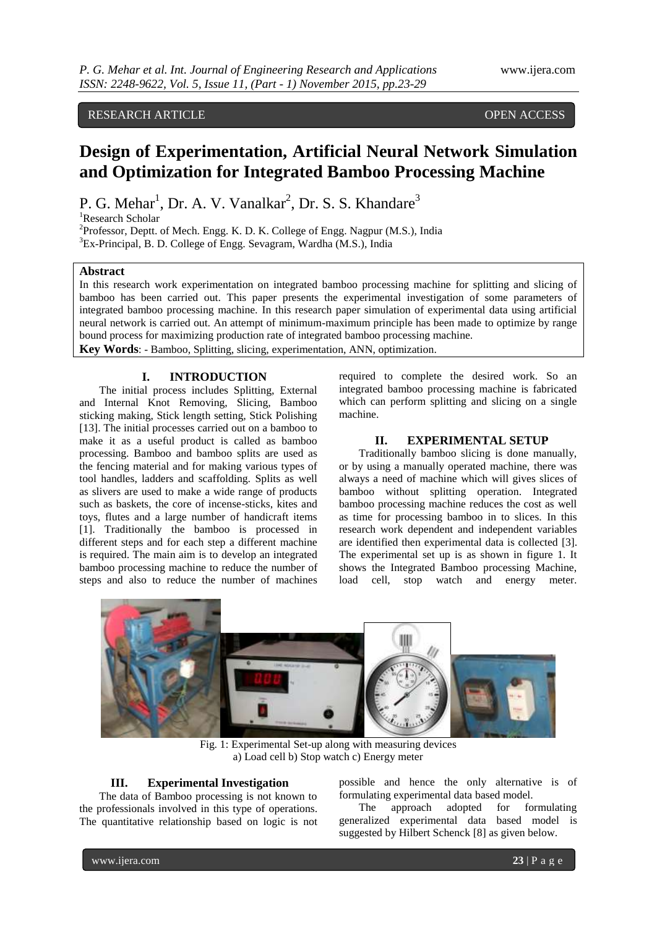# RESEARCH ARTICLE OPEN ACCESS

# **Design of Experimentation, Artificial Neural Network Simulation and Optimization for Integrated Bamboo Processing Machine**

P. G. Mehar<sup>1</sup>, Dr. A. V. Vanalkar<sup>2</sup>, Dr. S. S. Khandare<sup>3</sup>

<sup>1</sup>Research Scholar

 $2^2$ Professor, Deptt. of Mech. Engg. K. D. K. College of Engg. Nagpur (M.S.), India <sup>3</sup>Ex-Principal, B. D. College of Engg. Sevagram, Wardha (M.S.), India

## **Abstract**

In this research work experimentation on integrated bamboo processing machine for splitting and slicing of bamboo has been carried out. This paper presents the experimental investigation of some parameters of integrated bamboo processing machine. In this research paper simulation of experimental data using artificial neural network is carried out. An attempt of minimum-maximum principle has been made to optimize by range bound process for maximizing production rate of integrated bamboo processing machine.

**Key Words**: - Bamboo, Splitting, slicing, experimentation, ANN, optimization.

# **I. INTRODUCTION**

The initial process includes Splitting, External and Internal Knot Removing, Slicing, Bamboo sticking making, Stick length setting, Stick Polishing [13]. The initial processes carried out on a bamboo to make it as a useful product is called as bamboo processing. Bamboo and bamboo splits are used as the fencing material and for making various types of tool handles, ladders and scaffolding. Splits as well as slivers are used to make a wide range of products such as baskets, the core of incense-sticks, kites and toys, flutes and a large number of handicraft items [1]. Traditionally the bamboo is processed in different steps and for each step a different machine is required. The main aim is to develop an integrated bamboo processing machine to reduce the number of steps and also to reduce the number of machines required to complete the desired work. So an integrated bamboo processing machine is fabricated which can perform splitting and slicing on a single machine.

# **II. EXPERIMENTAL SETUP**

Traditionally bamboo slicing is done manually, or by using a manually operated machine, there was always a need of machine which will gives slices of bamboo without splitting operation. Integrated bamboo processing machine reduces the cost as well as time for processing bamboo in to slices. In this research work dependent and independent variables are identified then experimental data is collected [3]. The experimental set up is as shown in figure 1. It shows the Integrated Bamboo processing Machine, load cell, stop watch and energy meter.



Fig. 1: Experimental Set-up along with measuring devices a) Load cell b) Stop watch c) Energy meter

# **III. Experimental Investigation**

The data of Bamboo processing is not known to the professionals involved in this type of operations. The quantitative relationship based on logic is not possible and hence the only alternative is of formulating experimental data based model.

The approach adopted for formulating generalized experimental data based model is suggested by Hilbert Schenck [8] as given below.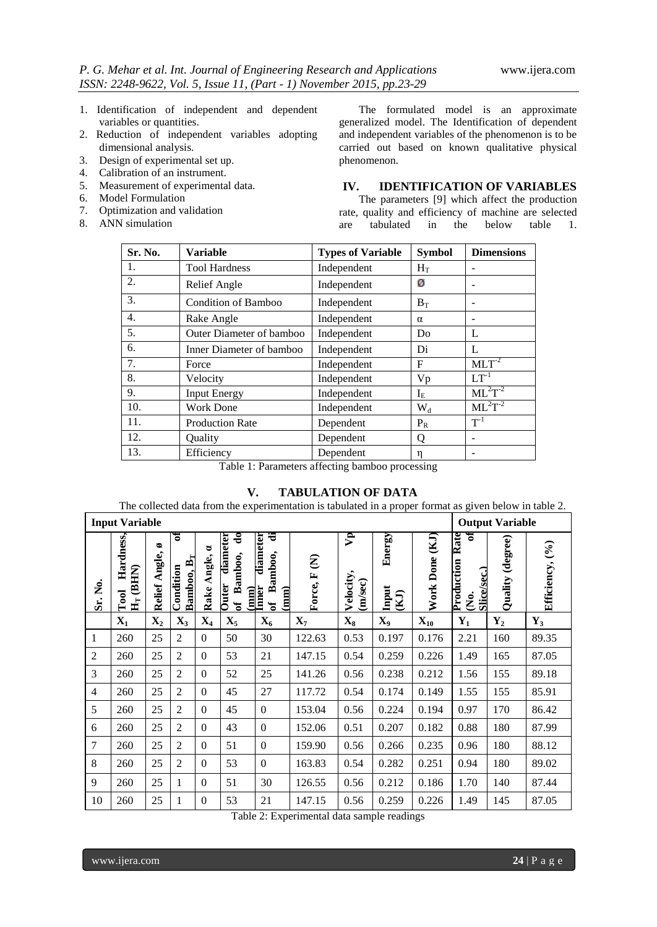- 1. Identification of independent and dependent variables or quantities.
- 2. Reduction of independent variables adopting dimensional analysis.
- 3. Design of experimental set up.
- 4. Calibration of an instrument.
- 5. Measurement of experimental data.
- 6. Model Formulation
- 7. Optimization and validation
- 8. ANN simulation

The formulated model is an approximate generalized model. The Identification of dependent and independent variables of the phenomenon is to be carried out based on known qualitative physical phenomenon.

# **IV. IDENTIFICATION OF VARIABLES**

The parameters [9] which affect the production rate, quality and efficiency of machine are selected are tabulated in the below table 1.

| Sr. No. | <b>Variable</b>            | <b>Types of Variable</b> | <b>Symbol</b>  | <b>Dimensions</b> |
|---------|----------------------------|--------------------------|----------------|-------------------|
| 1.      | <b>Tool Hardness</b>       | Independent              | $H_T$          |                   |
| 2.      | Relief Angle               | Independent              | ø              |                   |
| 3.      | <b>Condition of Bamboo</b> | Independent              | $B_T$          |                   |
| 4.      | Rake Angle                 | Independent              | $\alpha$       |                   |
| 5.      | Outer Diameter of bamboo   | Independent              | D <sub>0</sub> | L                 |
| 6.      | Inner Diameter of bamboo   | Independent              | Di             | L                 |
| 7.      | Force                      | Independent              | F              | $MLT^{-2}$        |
| 8.      | Velocity                   | Independent              | Vp             | $LT^{-1}$         |
| 9.      | <b>Input Energy</b>        | Independent              | $I_{E}$        | $ML^2T^{-2}$      |
| 10.     | <b>Work Done</b>           | Independent              | $W_d$          | $ML^2T^{-2}$      |
| 11.     | <b>Production Rate</b>     | Dependent                | $P_R$          | $T^{-1}$          |
| 12.     | Quality                    | Dependent                | Q              |                   |
| 13.     | Efficiency                 | Dependent                | η              |                   |

Table 1: Parameters affecting bamboo processing

# **V. TABULATION OF DATA**

The collected data from the experimentation is tabulated in a proper format as given below in table 2.

|                | <b>Input Variable</b>                                    |                        |                                                 |                     |                                                                 |                                                                       |                                               |                                      |                                     |                   |                                                                      | <b>Output Variable</b> |                 |
|----------------|----------------------------------------------------------|------------------------|-------------------------------------------------|---------------------|-----------------------------------------------------------------|-----------------------------------------------------------------------|-----------------------------------------------|--------------------------------------|-------------------------------------|-------------------|----------------------------------------------------------------------|------------------------|-----------------|
| Sr. No.        | Hardness,<br>(BHN)<br><b>Tool</b><br>$\mathbf{H}_\Gamma$ | ø<br>Angle,<br>Relief. | ร<br>Bamboo, $\mathbf{B}_\text{T}$<br>Condition | 8<br>Angle,<br>Rake | do<br>diameter<br>Bamboo,<br><b>Outer</b><br>$\mathbf{\hat{p}}$ | ਚ<br>diameter<br>amboo,<br>(mm)<br>Inner<br>⋒<br>(mm)<br>$\mathbf{a}$ | $\widehat{\boldsymbol{\epsilon}}$<br>Force, F | $\mathbf{P}$<br>Velocity,<br>(m/sec) | Energy<br>Input<br>$\sum_{i=1}^{n}$ | (KJ)<br>Work Done | Rate<br>ร<br>Production<br>Slice/sec.)<br>$\dot{\tilde{\mathbf{z}}}$ | (degree)<br>Quality    | Efficiency, (%) |
|                | $X_1$                                                    | $\mathbf{X}_2$         | $X_3$                                           | $X_4$               | $\mathbf{X}_5$                                                  | $X_6$                                                                 | $X_7$                                         | $X_8$                                | $X_9$                               | $X_{10}$          | ${\bf Y_1}$                                                          | $\mathbf{Y}_2$         | $Y_3$           |
| 1              | 260                                                      | 25                     | $\overline{2}$                                  | $\Omega$            | 50                                                              | 30                                                                    | 122.63                                        | 0.53                                 | 0.197                               | 0.176             | 2.21                                                                 | 160                    | 89.35           |
| $\overline{c}$ | 260                                                      | 25                     | $\overline{2}$                                  | $\boldsymbol{0}$    | 53                                                              | 21                                                                    | 147.15                                        | 0.54                                 | 0.259                               | 0.226             | 1.49                                                                 | 165                    | 87.05           |
| 3              | 260                                                      | 25                     | $\overline{2}$                                  | $\boldsymbol{0}$    | 52                                                              | 25                                                                    | 141.26                                        | 0.56                                 | 0.238                               | 0.212             | 1.56                                                                 | 155                    | 89.18           |
| $\overline{4}$ | 260                                                      | 25                     | $\overline{2}$                                  | $\boldsymbol{0}$    | 45                                                              | 27                                                                    | 117.72                                        | 0.54                                 | 0.174                               | 0.149             | 1.55                                                                 | 155                    | 85.91           |
| 5              | 260                                                      | 25                     | $\overline{2}$                                  | $\overline{0}$      | 45                                                              | $\Omega$                                                              | 153.04                                        | 0.56                                 | 0.224                               | 0.194             | 0.97                                                                 | 170                    | 86.42           |
| 6              | 260                                                      | 25                     | $\overline{2}$                                  | $\boldsymbol{0}$    | 43                                                              | $\Omega$                                                              | 152.06                                        | 0.51                                 | 0.207                               | 0.182             | 0.88                                                                 | 180                    | 87.99           |
| $\overline{7}$ | 260                                                      | 25                     | $\overline{2}$                                  | $\mathbf{0}$        | 51                                                              | $\Omega$                                                              | 159.90                                        | 0.56                                 | 0.266                               | 0.235             | 0.96                                                                 | 180                    | 88.12           |
| 8              | 260                                                      | 25                     | $\overline{2}$                                  | $\boldsymbol{0}$    | 53                                                              | $\Omega$                                                              | 163.83                                        | 0.54                                 | 0.282                               | 0.251             | 0.94                                                                 | 180                    | 89.02           |
| 9              | 260                                                      | 25                     | 1                                               | $\boldsymbol{0}$    | 51                                                              | 30                                                                    | 126.55                                        | 0.56                                 | 0.212                               | 0.186             | 1.70                                                                 | 140                    | 87.44           |
| 10             | 260                                                      | 25                     | $\mathbf{1}$                                    | $\mathbf{0}$        | 53                                                              | 21                                                                    | 147.15                                        | 0.56                                 | 0.259                               | 0.226             | 1.49                                                                 | 145                    | 87.05           |

Table 2: Experimental data sample readings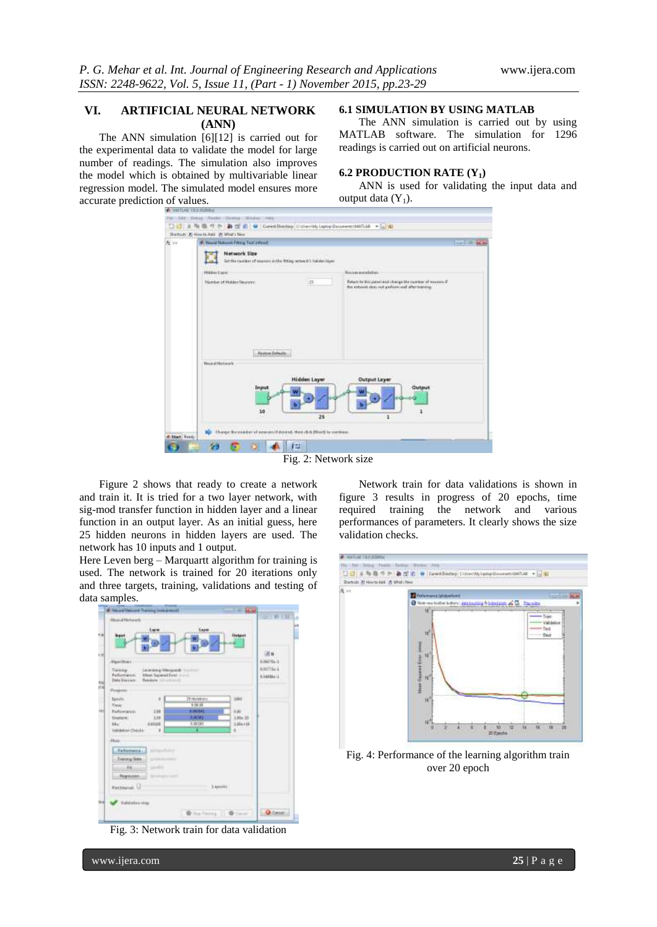# **VI. ARTIFICIAL NEURAL NETWORK (ANN)**

The ANN simulation [6][12] is carried out for the experimental data to validate the model for large number of readings. The simulation also improves the model which is obtained by multivariable linear regression model. The simulated model ensures more accurate prediction of values.

## **6.1 SIMULATION BY USING MATLAB**

The ANN simulation is carried out by using MATLAB software. The simulation for 1296 readings is carried out on artificial neurons.

### **6.2 PRODUCTION RATE (Y1)**

ANN is used for validating the input data and output data  $(Y_1)$ .

| 座 20 | # New Network Pitzug Text inform                                                   |                           |                                                                                                                                                                       | $20 - 10 = 10$ |
|------|------------------------------------------------------------------------------------|---------------------------|-----------------------------------------------------------------------------------------------------------------------------------------------------------------------|----------------|
|      | Network Size<br>Set the curricle of measure in the fitting setum (c) redules to an |                           |                                                                                                                                                                       |                |
|      | Hidden Layer                                                                       |                           | <b>ALCOHOL: NEW</b><br><b>Recognization</b>                                                                                                                           |                |
|      | Needer of Hidden Meanens:                                                          | $-15$                     | Baturet be this planel wild a bange the receiver of measured if<br>But network does not perform out after training<br>and the party of the company of the second con- |                |
|      |                                                                                    |                           |                                                                                                                                                                       |                |
|      | <b>Favoure Delaults</b><br><b>Hazard Hotwark</b>                                   |                           |                                                                                                                                                                       |                |
|      | Input<br>10                                                                        | <b>Hidden Layer</b><br>25 | <b>Output Layer</b><br>Output                                                                                                                                         |                |

Figure 2 shows that ready to create a network and train it. It is tried for a two layer network, with sig-mod transfer function in hidden layer and a linear function in an output layer. As an initial guess, here 25 hidden neurons in hidden layers are used. The network has 10 inputs and 1 output.

Here Leven berg – Marquartt algorithm for training is used. The network is trained for 20 iterations only and three targets, training, validations and testing of data samples.



Fig. 3: Network train for data validation

Network train for data validations is shown in figure 3 results in progress of 20 epochs, time required training the network and various performances of parameters. It clearly shows the size validation checks.



Fig. 4: Performance of the learning algorithm train over 20 epoch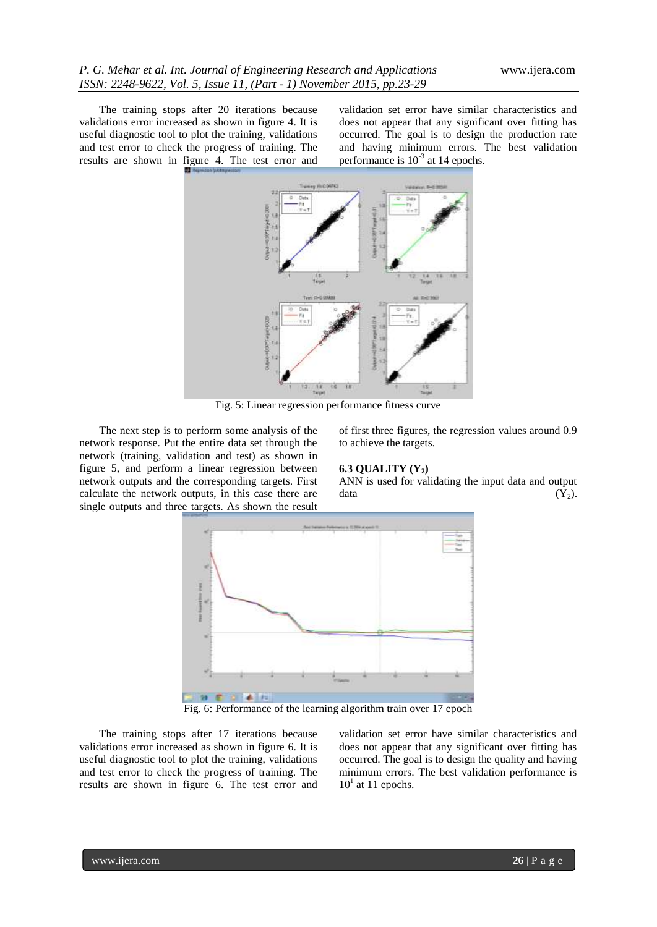The training stops after 20 iterations because validations error increased as shown in figure 4. It is useful diagnostic tool to plot the training, validations and test error to check the progress of training. The results are shown in figure 4. The test error and

validation set error have similar characteristics and does not appear that any significant over fitting has occurred. The goal is to design the production rate and having minimum errors. The best validation performance is  $10^{-3}$  at 14 epochs.



Fig. 5: Linear regression performance fitness curve

The next step is to perform some analysis of the network response. Put the entire data set through the network (training, validation and test) as shown in figure 5, and perform a linear regression between network outputs and the corresponding targets. First calculate the network outputs, in this case there are single outputs and three targets. As shown the result of first three figures, the regression values around 0.9 to achieve the targets.

#### **6.3 QUALITY (Y2)**

ANN is used for validating the input data and output data  $(Y_2)$ .



Fig. 6: Performance of the learning algorithm train over 17 epoch

The training stops after 17 iterations because validations error increased as shown in figure 6. It is useful diagnostic tool to plot the training, validations and test error to check the progress of training. The results are shown in figure 6. The test error and

validation set error have similar characteristics and does not appear that any significant over fitting has occurred. The goal is to design the quality and having minimum errors. The best validation performance is  $10<sup>1</sup>$  at 11 epochs.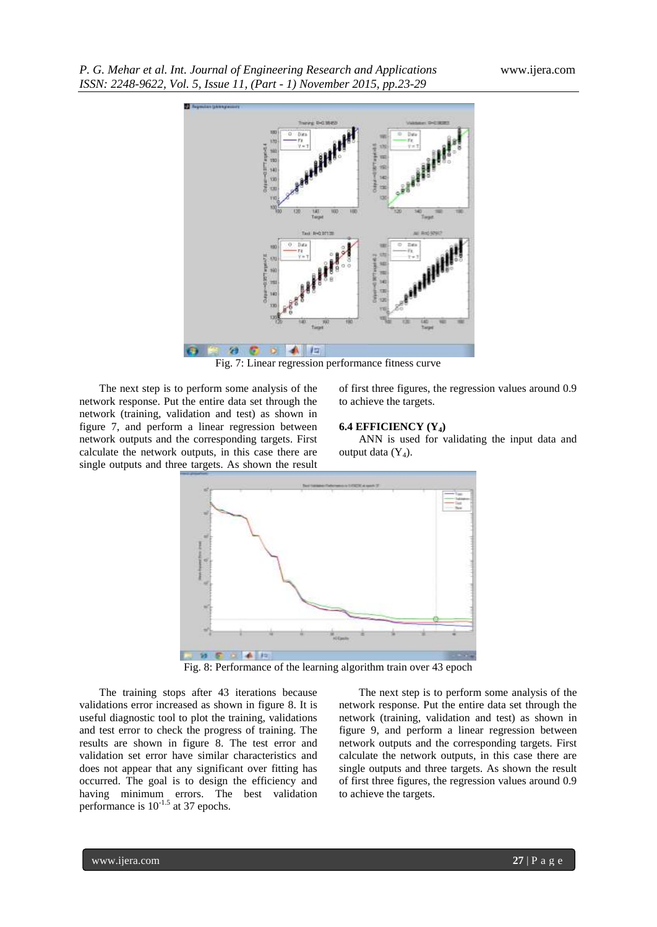

Fig. 7: Linear regression performance fitness curve

The next step is to perform some analysis of the network response. Put the entire data set through the network (training, validation and test) as shown in figure 7, and perform a linear regression between network outputs and the corresponding targets. First calculate the network outputs, in this case there are single outputs and three targets. As shown the result

of first three figures, the regression values around 0.9 to achieve the targets.

#### **6.4 EFFICIENCY (Y4)**

ANN is used for validating the input data and output data  $(Y_4)$ .



Fig. 8: Performance of the learning algorithm train over 43 epoch

The training stops after 43 iterations because validations error increased as shown in figure 8. It is useful diagnostic tool to plot the training, validations and test error to check the progress of training. The results are shown in figure 8. The test error and validation set error have similar characteristics and does not appear that any significant over fitting has occurred. The goal is to design the efficiency and having minimum errors. The best validation performance is  $10^{-1.5}$  at 37 epochs.

The next step is to perform some analysis of the network response. Put the entire data set through the network (training, validation and test) as shown in figure 9, and perform a linear regression between network outputs and the corresponding targets. First calculate the network outputs, in this case there are single outputs and three targets. As shown the result of first three figures, the regression values around 0.9 to achieve the targets.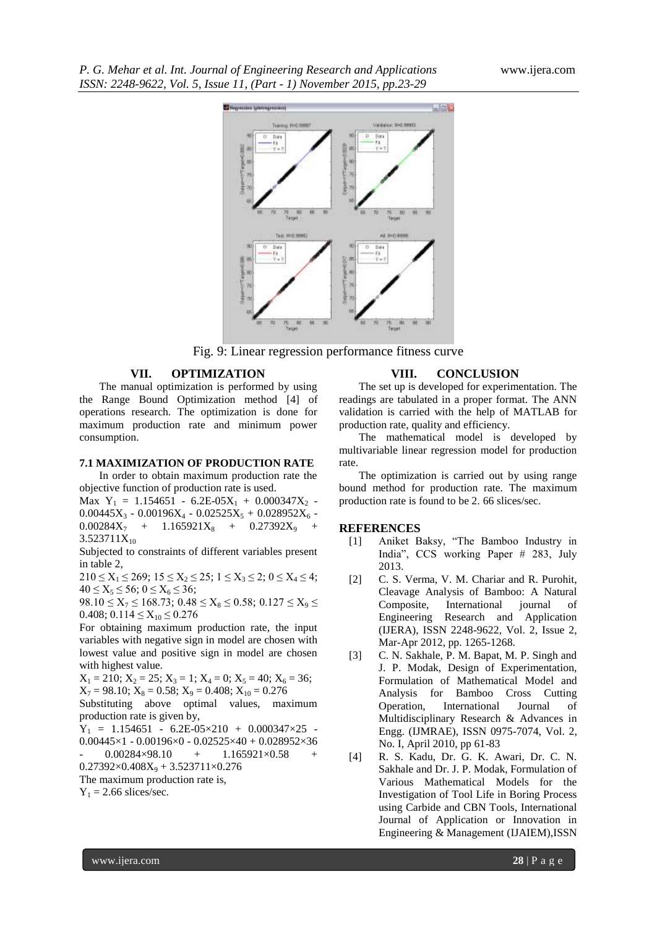

Fig. 9: Linear regression performance fitness curve

## **VII. OPTIMIZATION**

The manual optimization is performed by using the Range Bound Optimization method [4] of operations research. The optimization is done for maximum production rate and minimum power consumption.

#### **7.1 MAXIMIZATION OF PRODUCTION RATE**

In order to obtain maximum production rate the objective function of production rate is used.

Max  $Y_1 = 1.154651 - 6.2E-05X_1 + 0.000347X_2$  $0.00445X_3 - 0.00196X_4 - 0.02525X_5 + 0.028952X_6 0.00284X_7$  +  $1.165921X_8$  +  $0.27392X_9$  $3.523711X_{10}$ 

Subjected to constraints of different variables present in table 2,

 $210 \le X_1 \le 269$ ;  $15 \le X_2 \le 25$ ;  $1 \le X_3 \le 2$ ;  $0 \le X_4 \le 4$ ;  $40 \le X_5 \le 56$ ;  $0 \le X_6 \le 36$ ;

 $98.10 \le X_7 \le 168.73$ ;  $0.48 \le X_8 \le 0.58$ ;  $0.127 \le X_9 \le$ 0.408; 0.114  $\leq$  X<sub>10</sub>  $\leq$  0.276

For obtaining maximum production rate, the input variables with negative sign in model are chosen with lowest value and positive sign in model are chosen with highest value.

 $X_1 = 210$ ;  $X_2 = 25$ ;  $X_3 = 1$ ;  $X_4 = 0$ ;  $X_5 = 40$ ;  $X_6 = 36$ ;  $X_7 = 98.10$ ;  $X_8 = 0.58$ ;  $X_9 = 0.408$ ;  $X_{10} = 0.276$ 

Substituting above optimal values, maximum production rate is given by,

 $Y_1 = 1.154651 - 6.2E-05 \times 210 + 0.000347 \times 25$ 0.00445×1 - 0.00196×0 - 0.02525×40 + 0.028952×36  $0.00284\times98.10 + 1.165921\times0.58 +$ 

 $0.27392\times0.408X_9 + 3.523711\times0.276$ 

The maximum production rate is,

 $Y_1 = 2.66$  slices/sec.

#### **VIII. CONCLUSION**

The set up is developed for experimentation. The readings are tabulated in a proper format. The ANN validation is carried with the help of MATLAB for production rate, quality and efficiency.

The mathematical model is developed by multivariable linear regression model for production rate.

The optimization is carried out by using range bound method for production rate. The maximum production rate is found to be 2. 66 slices/sec.

#### **REFERENCES**

- [1] Aniket Baksy, "The Bamboo Industry in India", CCS working Paper # 283, July 2013.
- [2] C. S. Verma, V. M. Chariar and R. Purohit, Cleavage Analysis of Bamboo: A Natural Composite, International journal of Engineering Research and Application (IJERA), ISSN 2248-9622, Vol. 2, Issue 2, Mar-Apr 2012, pp. 1265-1268.
- [3] C. N. Sakhale, P. M. Bapat, M. P. Singh and J. P. Modak, Design of Experimentation, Formulation of Mathematical Model and Analysis for Bamboo Cross Cutting Operation, International Journal of Multidisciplinary Research & Advances in Engg. (IJMRAE), ISSN 0975-7074, Vol. 2, No. I, April 2010, pp 61-83
- [4] R. S. Kadu, Dr. G. K. Awari, Dr. C. N. Sakhale and Dr. J. P. Modak, Formulation of Various Mathematical Models for the Investigation of Tool Life in Boring Process using Carbide and CBN Tools, International Journal of Application or Innovation in Engineering & Management (IJAIEM),ISSN